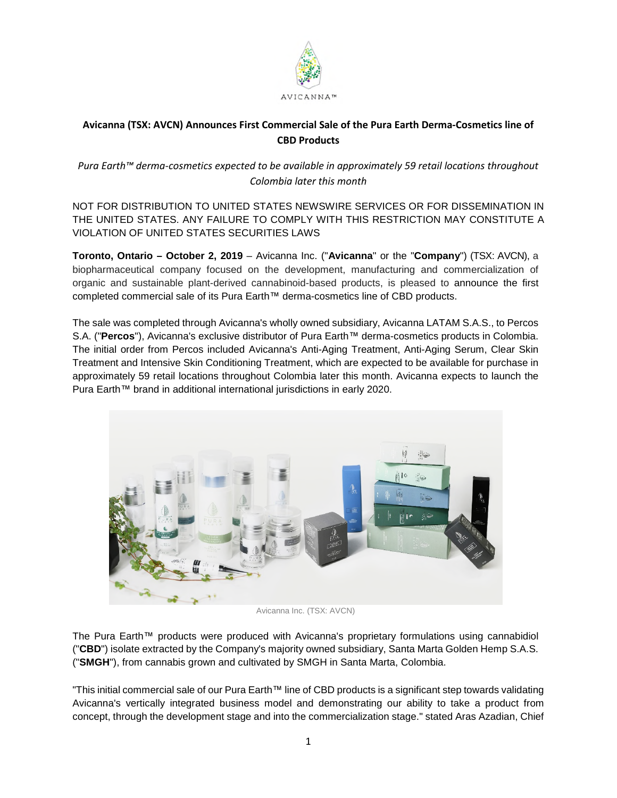

# **Avicanna (TSX: AVCN) Announces First Commercial Sale of the Pura Earth Derma-Cosmetics line of CBD Products**

*Pura Earth™ derma-cosmetics expected to be available in approximately 59 retail locations throughout Colombia later this month* 

NOT FOR DISTRIBUTION TO UNITED STATES NEWSWIRE SERVICES OR FOR DISSEMINATION IN THE UNITED STATES. ANY FAILURE TO COMPLY WITH THIS RESTRICTION MAY CONSTITUTE A VIOLATION OF UNITED STATES SECURITIES LAWS

**Toronto, Ontario – October 2, 2019** – Avicanna Inc. ("**Avicanna**" or the "**Company**") (TSX: AVCN), a biopharmaceutical company focused on the development, manufacturing and commercialization of organic and sustainable plant-derived cannabinoid-based products, is pleased to announce the first completed commercial sale of its Pura Earth™ derma-cosmetics line of CBD products.

The sale was completed through Avicanna's wholly owned subsidiary, Avicanna LATAM S.A.S., to Percos S.A. ("**Percos**"), Avicanna's exclusive distributor of Pura Earth™ derma-cosmetics products in Colombia. The initial order from Percos included Avicanna's Anti-Aging Treatment, Anti-Aging Serum, Clear Skin Treatment and Intensive Skin Conditioning Treatment, which are expected to be available for purchase in approximately 59 retail locations throughout Colombia later this month. Avicanna expects to launch the Pura Earth™ brand in additional international jurisdictions in early 2020.



Avicanna Inc. (TSX: AVCN)

The Pura Earth™ products were produced with Avicanna's proprietary formulations using cannabidiol ("**CBD**") isolate extracted by the Company's majority owned subsidiary, Santa Marta Golden Hemp S.A.S. ("**SMGH**"), from cannabis grown and cultivated by SMGH in Santa Marta, Colombia.

"This initial commercial sale of our Pura Earth™ line of CBD products is a significant step towards validating Avicanna's vertically integrated business model and demonstrating our ability to take a product from concept, through the development stage and into the commercialization stage." stated Aras Azadian, Chief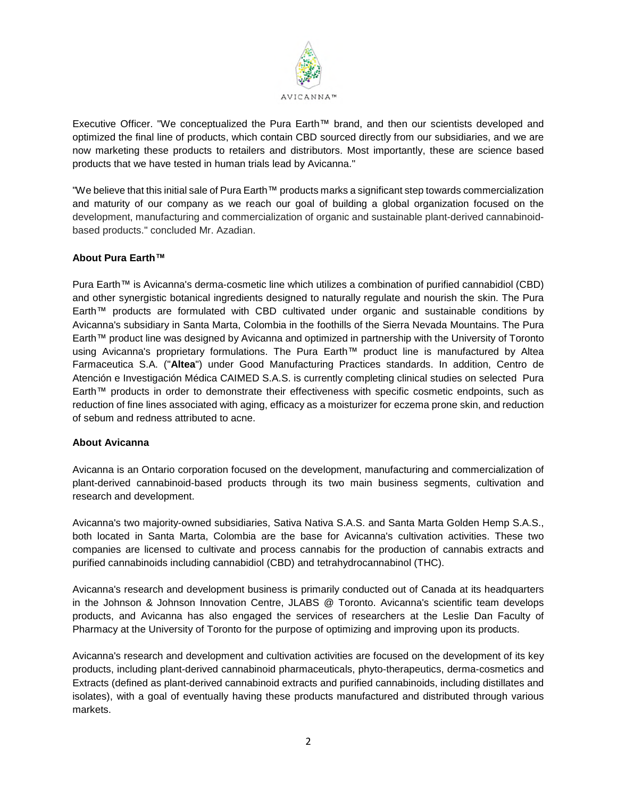

Executive Officer. "We conceptualized the Pura Earth™ brand, and then our scientists developed and optimized the final line of products, which contain CBD sourced directly from our subsidiaries, and we are now marketing these products to retailers and distributors. Most importantly, these are science based products that we have tested in human trials lead by Avicanna."

"We believe that this initial sale of Pura Earth™ products marks a significant step towards commercialization and maturity of our company as we reach our goal of building a global organization focused on the development, manufacturing and commercialization of organic and sustainable plant-derived cannabinoidbased products." concluded Mr. Azadian.

## **About Pura Earth™**

Pura Earth™ is Avicanna's derma-cosmetic line which utilizes a combination of purified cannabidiol (CBD) and other synergistic botanical ingredients designed to naturally regulate and nourish the skin. The Pura Earth™ products are formulated with CBD cultivated under organic and sustainable conditions by Avicanna's subsidiary in Santa Marta, Colombia in the foothills of the Sierra Nevada Mountains. The Pura Earth™ product line was designed by Avicanna and optimized in partnership with the University of Toronto using Avicanna's proprietary formulations. The Pura Earth™ product line is manufactured by Altea Farmaceutica S.A. ("**Altea**") under Good Manufacturing Practices standards. In addition, Centro de Atención e Investigación Médica CAIMED S.A.S. is currently completing clinical studies on selected Pura Earth™ products in order to demonstrate their effectiveness with specific cosmetic endpoints, such as reduction of fine lines associated with aging, efficacy as a moisturizer for eczema prone skin, and reduction of sebum and redness attributed to acne.

## **About Avicanna**

Avicanna is an Ontario corporation focused on the development, manufacturing and commercialization of plant-derived cannabinoid-based products through its two main business segments, cultivation and research and development.

Avicanna's two majority-owned subsidiaries, Sativa Nativa S.A.S. and Santa Marta Golden Hemp S.A.S., both located in Santa Marta, Colombia are the base for Avicanna's cultivation activities. These two companies are licensed to cultivate and process cannabis for the production of cannabis extracts and purified cannabinoids including cannabidiol (CBD) and tetrahydrocannabinol (THC).

Avicanna's research and development business is primarily conducted out of Canada at its headquarters in the Johnson & Johnson Innovation Centre, JLABS @ Toronto. Avicanna's scientific team develops products, and Avicanna has also engaged the services of researchers at the Leslie Dan Faculty of Pharmacy at the University of Toronto for the purpose of optimizing and improving upon its products.

Avicanna's research and development and cultivation activities are focused on the development of its key products, including plant-derived cannabinoid pharmaceuticals, phyto-therapeutics, derma-cosmetics and Extracts (defined as plant-derived cannabinoid extracts and purified cannabinoids, including distillates and isolates), with a goal of eventually having these products manufactured and distributed through various markets.